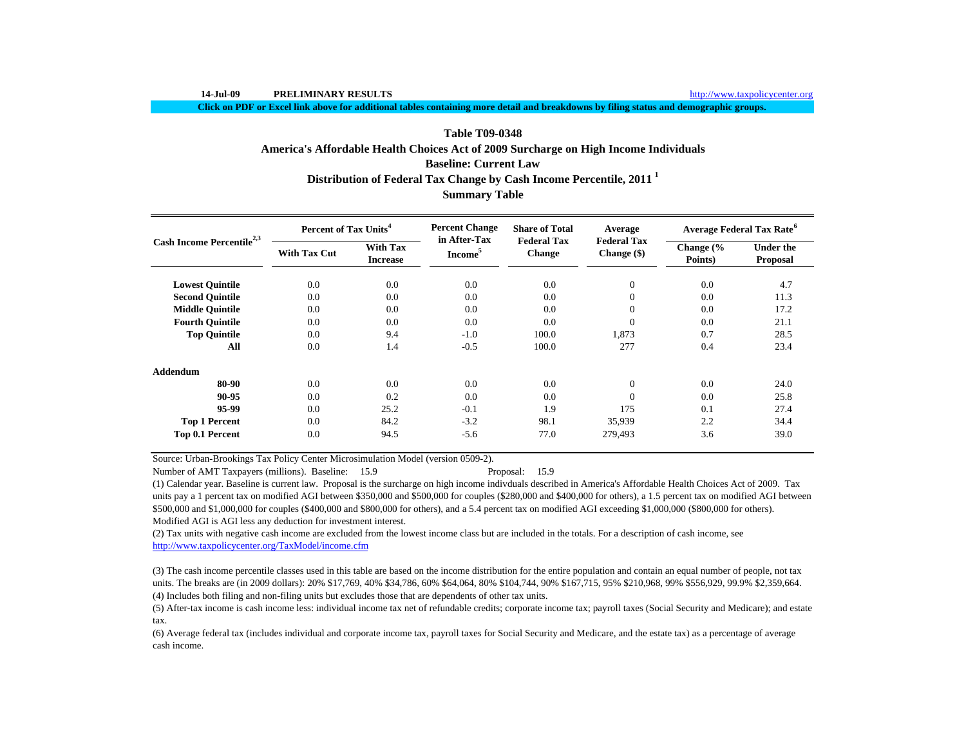**Click on PDF or Excel link above for additional tables containing more detail and breakdowns by filing status and demographic groups.**

# **Baseline: Current LawTable T09-0348America's Affordable Health Choices Act of 2009 Surcharge on High Income Individuals**

# **Distribution of Federal Tax Change by Cash Income Percentile, 2011 <sup>1</sup>**

# **Summary Table**

| Cash Income Percentile <sup>2,3</sup> | Percent of Tax Units <sup>4</sup> |                                    | <b>Percent Change</b><br>in After-Tax | <b>Share of Total</b>               | Average                           | <b>Average Federal Tax Rate<sup>6</sup></b> |                              |  |
|---------------------------------------|-----------------------------------|------------------------------------|---------------------------------------|-------------------------------------|-----------------------------------|---------------------------------------------|------------------------------|--|
|                                       | <b>With Tax Cut</b>               | <b>With Tax</b><br><b>Increase</b> | Income <sup>5</sup>                   | <b>Federal Tax</b><br><b>Change</b> | <b>Federal Tax</b><br>Change (\$) | Change $\frac{6}{6}$<br>Points)             | <b>Under the</b><br>Proposal |  |
| <b>Lowest Ouintile</b>                | 0.0                               | 0.0                                | 0.0                                   | 0.0                                 | $\mathbf{0}$                      | 0.0                                         | 4.7                          |  |
| <b>Second Quintile</b>                | 0.0                               | 0.0                                | 0.0                                   | 0.0                                 | $\mathbf{0}$                      | 0.0                                         | 11.3                         |  |
| <b>Middle Quintile</b>                | 0.0                               | 0.0                                | 0.0                                   | 0.0                                 | $\mathbf{0}$                      | 0.0                                         | 17.2                         |  |
| <b>Fourth Quintile</b>                | 0.0                               | 0.0                                | 0.0                                   | 0.0                                 | $\mathbf{0}$                      | 0.0                                         | 21.1                         |  |
| <b>Top Quintile</b>                   | 0.0                               | 9.4                                | $-1.0$                                | 100.0                               | 1,873                             | 0.7                                         | 28.5                         |  |
| All                                   | 0.0                               | 1.4                                | $-0.5$                                | 100.0                               | 277                               | 0.4                                         | 23.4                         |  |
| <b>Addendum</b>                       |                                   |                                    |                                       |                                     |                                   |                                             |                              |  |
| 80-90                                 | 0.0                               | 0.0                                | 0.0                                   | 0.0                                 | $\mathbf{0}$                      | 0.0                                         | 24.0                         |  |
| 90-95                                 | 0.0                               | 0.2                                | 0.0                                   | 0.0                                 | $\Omega$                          | 0.0                                         | 25.8                         |  |
| 95-99                                 | 0.0                               | 25.2                               | $-0.1$                                | 1.9                                 | 175                               | 0.1                                         | 27.4                         |  |
| <b>Top 1 Percent</b>                  | 0.0                               | 84.2                               | $-3.2$                                | 98.1                                | 35,939                            | 2.2                                         | 34.4                         |  |
| Top 0.1 Percent                       | 0.0                               | 94.5                               | $-5.6$                                | 77.0                                | 279,493                           | 3.6                                         | 39.0                         |  |

Source: Urban-Brookings Tax Policy Center Microsimulation Model (version 0509-2).

Number of AMT Taxpayers (millions). Baseline: 15.9 Proposal: 15.9

(1) Calendar year. Baseline is current law. Proposal is the surcharge on high income indivduals described in America's Affordable Health Choices Act of 2009. Tax units pay a 1 percent tax on modified AGI between \$350,000 and \$500,000 for couples (\$280,000 and \$400,000 for others), a 1.5 percent tax on modified AGI between \$500,000 and \$1,000,000 for couples (\$400,000 and \$800,000 for others), and a 5.4 percent tax on modified AGI exceeding \$1,000,000 (\$800,000 for others). Modified AGI is AGI less any deduction for investment interest.

(2) Tax units with negative cash income are excluded from the lowest income class but are included in the totals. For a description of cash income, see http://www.taxpolicycenter.org/TaxModel/income.cfm

(4) Includes both filing and non-filing units but excludes those that are dependents of other tax units. (3) The cash income percentile classes used in this table are based on the income distribution for the entire population and contain an equal number of people, not tax units. The breaks are (in 2009 dollars): 20% \$17,769, 40% \$34,786, 60% \$64,064, 80% \$104,744, 90% \$167,715, 95% \$210,968, 99% \$556,929, 99.9% \$2,359,664.

(5) After-tax income is cash income less: individual income tax net of refundable credits; corporate income tax; payroll taxes (Social Security and Medicare); and estate tax.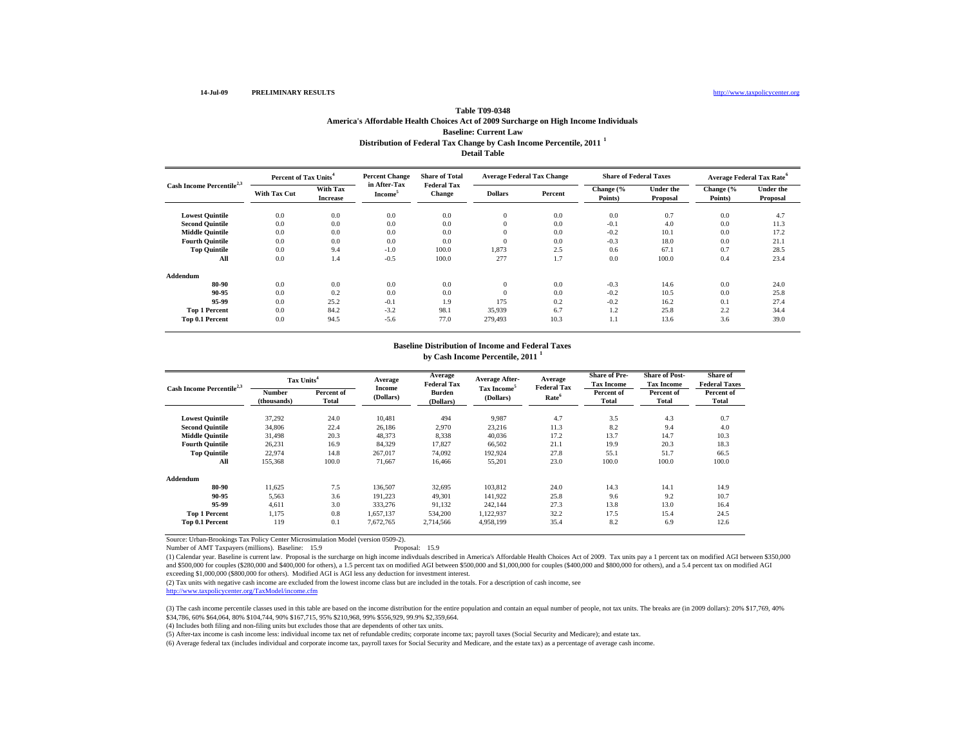#### http://www.taxpolicycenter.org

## **Distribution of Federal Tax Change by Cash Income Percentile, 2011 <sup>1</sup> Detail Table Table T09-0348America's Affordable Health Choices Act of 2009 Surcharge on High Income Individuals Baseline: Current Law**

| Cash Income Percentile <sup>2,3</sup> | Percent of Tax Units <sup>4</sup> |                             | <b>Percent Change</b>               | <b>Share of Total</b>               | <b>Average Federal Tax Change</b> |         | <b>Share of Federal Taxes</b> |                              |                      | <b>Average Federal Tax Rate<sup>6</sup></b> |
|---------------------------------------|-----------------------------------|-----------------------------|-------------------------------------|-------------------------------------|-----------------------------------|---------|-------------------------------|------------------------------|----------------------|---------------------------------------------|
|                                       | <b>With Tax Cut</b>               | With Tax<br><b>Increase</b> | in After-Tax<br>Income <sup>3</sup> | <b>Federal Tax</b><br><b>Change</b> | <b>Dollars</b>                    | Percent | Change (%<br>Points)          | <b>Under the</b><br>Proposal | Change (%<br>Points) | <b>Under the</b><br>Proposal                |
| <b>Lowest Quintile</b>                | 0.0                               | 0.0                         | 0.0                                 | 0.0                                 | $\mathbf{0}$                      | 0.0     | 0.0                           | 0.7                          | 0.0                  | 4.7                                         |
| <b>Second Quintile</b>                | 0.0                               | 0.0                         | 0.0                                 | 0.0                                 | $\theta$                          | 0.0     | $-0.1$                        | 4.0                          | 0.0                  | 11.3                                        |
| <b>Middle Quintile</b>                | 0.0                               | 0.0                         | 0.0                                 | 0.0                                 | $\Omega$                          | 0.0     | $-0.2$                        | 10.1                         | 0.0                  | 17.2                                        |
| <b>Fourth Quintile</b>                | 0.0                               | 0.0                         | 0.0                                 | 0.0                                 | $\Omega$                          | 0.0     | $-0.3$                        | 18.0                         | 0.0                  | 21.1                                        |
| <b>Top Quintile</b>                   | 0.0                               | 9.4                         | $-1.0$                              | 100.0                               | 1.873                             | 2.5     | 0.6                           | 67.1                         | 0.7                  | 28.5                                        |
| All                                   | 0.0                               | 1.4                         | $-0.5$                              | 100.0                               | 277                               | 1.7     | 0.0                           | 100.0                        | 0.4                  | 23.4                                        |
| Addendum                              |                                   |                             |                                     |                                     |                                   |         |                               |                              |                      |                                             |
| 80-90                                 | 0.0                               | 0.0                         | 0.0                                 | 0.0                                 | $\theta$                          | 0.0     | $-0.3$                        | 14.6                         | 0.0                  | 24.0                                        |
| 90-95                                 | 0.0                               | 0.2                         | 0.0                                 | 0.0                                 | $\theta$                          | 0.0     | $-0.2$                        | 10.5                         | 0.0                  | 25.8                                        |
| 95-99                                 | 0.0                               | 25.2                        | $-0.1$                              | 1.9                                 | 175                               | 0.2     | $-0.2$                        | 16.2                         | 0.1                  | 27.4                                        |
| <b>Top 1 Percent</b>                  | 0.0                               | 84.2                        | $-3.2$                              | 98.1                                | 35,939                            | 6.7     | 1.2                           | 25.8                         | 2.2                  | 34.4                                        |
| Top 0.1 Percent                       | 0.0                               | 94.5                        | $-5.6$                              | 77.0                                | 279,493                           | 10.3    | 1.1                           | 13.6                         | 3.6                  | 39.0                                        |

# **Baseline Distribution of Income and Federal Taxes**

**by Cash Income Percentile, 2011 <sup>1</sup>**

| Cash Income Percentile <sup>2,3</sup> | Tax Units <sup>4</sup> |                     | Average             | Average<br><b>Federal Tax</b> | <b>Average After-</b>                | Average                                 | <b>Share of Pre-</b><br><b>Tax Income</b> | <b>Share of Post-</b><br><b>Tax Income</b> | Share of<br><b>Federal Taxes</b> |
|---------------------------------------|------------------------|---------------------|---------------------|-------------------------------|--------------------------------------|-----------------------------------------|-------------------------------------------|--------------------------------------------|----------------------------------|
|                                       | Number<br>(thousands)  | Percent of<br>Total | Income<br>(Dollars) | <b>Burden</b><br>(Dollars)    | Tax Income <sup>5</sup><br>(Dollars) | <b>Federal Tax</b><br>Rate <sup>6</sup> | Percent of<br>Total                       | Percent of<br>Total                        | Percent of<br>Total              |
| <b>Lowest Quintile</b>                | 37,292                 | 24.0                | 10,481              | 494                           | 9,987                                | 4.7                                     | 3.5                                       | 4.3                                        | 0.7                              |
| <b>Second Ouintile</b>                | 34.806                 | 22.4                | 26,186              | 2,970                         | 23,216                               | 11.3                                    | 8.2                                       | 9.4                                        | 4.0                              |
| <b>Middle Quintile</b>                | 31,498                 | 20.3                | 48,373              | 8,338                         | 40,036                               | 17.2                                    | 13.7                                      | 14.7                                       | 10.3                             |
| <b>Fourth Ouintile</b>                | 26,231                 | 16.9                | 84,329              | 17,827                        | 66,502                               | 21.1                                    | 19.9                                      | 20.3                                       | 18.3                             |
| <b>Top Quintile</b>                   | 22,974                 | 14.8                | 267,017             | 74,092                        | 192,924                              | 27.8                                    | 55.1                                      | 51.7                                       | 66.5                             |
| All                                   | 155.368                | 100.0               | 71.667              | 16.466                        | 55,201                               | 23.0                                    | 100.0                                     | 100.0                                      | 100.0                            |
| Addendum                              |                        |                     |                     |                               |                                      |                                         |                                           |                                            |                                  |
| 80-90                                 | 11.625                 | 7.5                 | 136,507             | 32,695                        | 103,812                              | 24.0                                    | 14.3                                      | 14.1                                       | 14.9                             |
| 90-95                                 | 5,563                  | 3.6                 | 191,223             | 49,301                        | 141,922                              | 25.8                                    | 9.6                                       | 9.2                                        | 10.7                             |
| 95-99                                 | 4,611                  | 3.0                 | 333,276             | 91,132                        | 242,144                              | 27.3                                    | 13.8                                      | 13.0                                       | 16.4                             |
| <b>Top 1 Percent</b>                  | 1.175                  | 0.8                 | 1.657.137           | 534,200                       | 1,122,937                            | 32.2                                    | 17.5                                      | 15.4                                       | 24.5                             |
| <b>Top 0.1 Percent</b>                | 119                    | 0.1                 | 7,672,765           | 2,714,566                     | 4.958.199                            | 35.4                                    | 8.2                                       | 6.9                                        | 12.6                             |

Source: Urban-Brookings Tax Policy Center Microsimulation Model (version 0509-2).

Number of AMT Taxpayers (millions). Baseline: 15.9 Proposal: 15.9

(1) Calendar year. Baseline is current law. Proposal is the surcharge on high income indivduals described in America's Affordable Health Choices Act of 2009. Tax units pay a 1 percent tax on modified AGI between \$350,000 and \$500,000 for couples (\$280,000 and \$400,000 for others), a 1.5 percent tax on modified AGI between \$500,000 and \$1,000,000 for couples (\$400,000 and \$800,000 for others), and a 5.4 percent tax on modified AGI exceeding \$1,000,000 (\$800,000 for others). Modified AGI is AGI less any deduction for investment interest.

(2) Tax units with negative cash income are excluded from the lowest income class but are included in the totals. For a description of cash income, see

http://www.taxpolicycenter.org/TaxModel/income.cfm

(3) The cash income percentile classes used in this table are based on the income distribution for the entire population and contain an equal number of people, not tax units. The breaks are (in 2009 dollars): 20% \$17,769, \$34,786, 60% \$64,064, 80% \$104,744, 90% \$167,715, 95% \$210,968, 99% \$556,929, 99.9% \$2,359,664.

(4) Includes both filing and non-filing units but excludes those that are dependents of other tax units.

(5) After-tax income is cash income less: individual income tax net of refundable credits; corporate income tax; payroll taxes (Social Security and Medicare); and estate tax.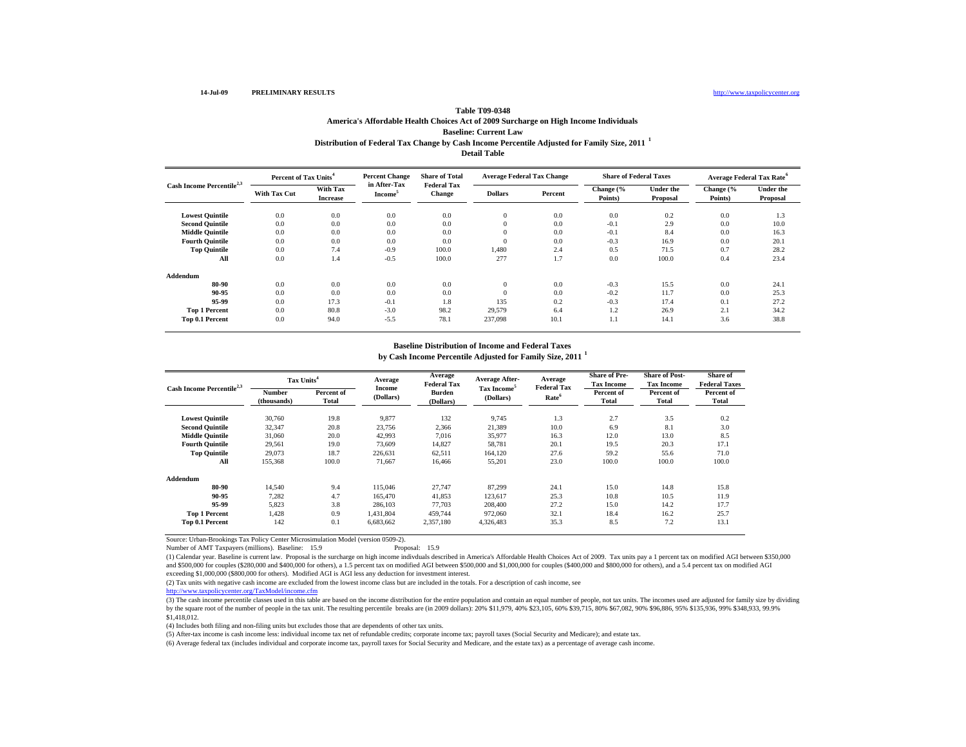#### http://www.taxpolicycenter.org

## **Distribution of Federal Tax Change by Cash Income Percentile Adjusted for Family Size, 2011 <sup>1</sup> Detail Table Table T09-0348America's Affordable Health Choices Act of 2009 Surcharge on High Income Individuals Baseline: Current Law**

| Cash Income Percentile <sup>2,3</sup> | Percent of Tax Units <sup>4</sup> |                             | <b>Percent Change</b>               | <b>Share of Total</b>               | <b>Average Federal Tax Change</b> |         | <b>Share of Federal Taxes</b> |                              | Average Federal Tax Rate <sup>6</sup> |                              |
|---------------------------------------|-----------------------------------|-----------------------------|-------------------------------------|-------------------------------------|-----------------------------------|---------|-------------------------------|------------------------------|---------------------------------------|------------------------------|
|                                       | <b>With Tax Cut</b>               | With Tax<br><b>Increase</b> | in After-Tax<br>Income <sup>3</sup> | <b>Federal Tax</b><br><b>Change</b> | <b>Dollars</b>                    | Percent | Change (%<br>Points)          | <b>Under the</b><br>Proposal | Change (%<br>Points)                  | <b>Under the</b><br>Proposal |
| <b>Lowest Quintile</b>                | 0.0                               | 0.0                         | 0.0                                 | 0.0                                 | $\mathbf{0}$                      | 0.0     | 0.0                           | 0.2                          | 0.0                                   | 1.3                          |
| <b>Second Quintile</b>                | 0.0                               | 0.0                         | 0.0                                 | 0.0                                 | $\bf{0}$                          | 0.0     | $-0.1$                        | 2.9                          | 0.0                                   | 10.0                         |
| <b>Middle Quintile</b>                | 0.0                               | 0.0                         | 0.0                                 | 0.0                                 | $\Omega$                          | 0.0     | $-0.1$                        | 8.4                          | 0.0                                   | 16.3                         |
| <b>Fourth Quintile</b>                | 0.0                               | 0.0                         | 0.0                                 | 0.0                                 | $\Omega$                          | 0.0     | $-0.3$                        | 16.9                         | 0.0                                   | 20.1                         |
| <b>Top Quintile</b>                   | 0.0                               | 7.4                         | $-0.9$                              | 100.0                               | 1.480                             | 2.4     | 0.5                           | 71.5                         | 0.7                                   | 28.2                         |
| All                                   | 0.0                               | 1.4                         | $-0.5$                              | 100.0                               | 277                               | 1.7     | 0.0                           | 100.0                        | 0.4                                   | 23.4                         |
| Addendum                              |                                   |                             |                                     |                                     |                                   |         |                               |                              |                                       |                              |
| 80-90                                 | 0.0                               | 0.0                         | 0.0                                 | 0.0                                 | $\Omega$                          | 0.0     | $-0.3$                        | 15.5                         | 0.0                                   | 24.1                         |
| 90-95                                 | 0.0                               | 0.0                         | 0.0                                 | 0.0                                 |                                   | 0.0     | $-0.2$                        | 11.7                         | 0.0                                   | 25.3                         |
| 95-99                                 | 0.0                               | 17.3                        | $-0.1$                              | 1.8                                 | 135                               | 0.2     | $-0.3$                        | 17.4                         | 0.1                                   | 27.2                         |
| <b>Top 1 Percent</b>                  | 0.0                               | 80.8                        | $-3.0$                              | 98.2                                | 29,579                            | 6.4     | 1.2                           | 26.9                         | 2.1                                   | 34.2                         |
| Top 0.1 Percent                       | 0.0                               | 94.0                        | $-5.5$                              | 78.1                                | 237,098                           | 10.1    | 1.1                           | 14.1                         | 3.6                                   | 38.8                         |

#### **Baseline Distribution of Income and Federal Taxes**

**by Cash Income Percentile Adjusted for Family Size, 2011 <sup>1</sup>**

| Cash Income Percentile <sup>2,3</sup> | Tax Units <sup>4</sup> |                     | Average             | Average<br><b>Federal Tax</b> | Average After-                       | Average<br><b>Federal Tax</b> | <b>Share of Pre-</b><br><b>Tax Income</b> | <b>Share of Post-</b><br><b>Tax Income</b> | Share of<br><b>Federal Taxes</b> |
|---------------------------------------|------------------------|---------------------|---------------------|-------------------------------|--------------------------------------|-------------------------------|-------------------------------------------|--------------------------------------------|----------------------------------|
|                                       | Number<br>(thousands)  | Percent of<br>Total | Income<br>(Dollars) | <b>Burden</b><br>(Dollars)    | Tax Income <sup>5</sup><br>(Dollars) | Rate <sup>6</sup>             | Percent of<br>Total                       | Percent of<br><b>Total</b>                 | Percent of<br><b>Total</b>       |
| <b>Lowest Quintile</b>                | 30,760                 | 19.8                | 9,877               | 132                           | 9,745                                | 1.3                           | 2.7                                       | 3.5                                        | 0.2                              |
| <b>Second Ouintile</b>                | 32,347                 | 20.8                | 23,756              | 2,366                         | 21,389                               | 10.0                          | 6.9                                       | 8.1                                        | 3.0                              |
| <b>Middle Ouintile</b>                | 31,060                 | 20.0                | 42,993              | 7,016                         | 35,977                               | 16.3                          | 12.0                                      | 13.0                                       | 8.5                              |
| <b>Fourth Ouintile</b>                | 29,561                 | 19.0                | 73,609              | 14,827                        | 58,781                               | 20.1                          | 19.5                                      | 20.3                                       | 17.1                             |
| <b>Top Quintile</b>                   | 29,073                 | 18.7                | 226.631             | 62,511                        | 164.120                              | 27.6                          | 59.2                                      | 55.6                                       | 71.0                             |
| All                                   | 155,368                | 100.0               | 71,667              | 16,466                        | 55,201                               | 23.0                          | 100.0                                     | 100.0                                      | 100.0                            |
| Addendum                              |                        |                     |                     |                               |                                      |                               |                                           |                                            |                                  |
| 80-90                                 | 14.540                 | 9.4                 | 115,046             | 27,747                        | 87,299                               | 24.1                          | 15.0                                      | 14.8                                       | 15.8                             |
| 90-95                                 | 7,282                  | 4.7                 | 165,470             | 41,853                        | 123,617                              | 25.3                          | 10.8                                      | 10.5                                       | 11.9                             |
| 95-99                                 | 5,823                  | 3.8                 | 286,103             | 77,703                        | 208,400                              | 27.2                          | 15.0                                      | 14.2                                       | 17.7                             |
| <b>Top 1 Percent</b>                  | 1,428                  | 0.9                 | 1,431,804           | 459,744                       | 972,060                              | 32.1                          | 18.4                                      | 16.2                                       | 25.7                             |
| Top 0.1 Percent                       | 142                    | 0.1                 | 6,683,662           | 2,357,180                     | 4,326,483                            | 35.3                          | 8.5                                       | 7.2                                        | 13.1                             |

Source: Urban-Brookings Tax Policy Center Microsimulation Model (version 0509-2).

Number of AMT Taxpayers (millions). Baseline: 15.9 Proposal: 15.9

(1) Calendar year. Baseline is current law. Proposal is the surcharge on high income indivduals described in America's Affordable Health Choices Act of 2009. Tax units pay a 1 percent tax on modified AGI between \$350,000 and \$500,000 for couples (\$280,000 and \$400,000 for others), a 1.5 percent tax on modified AGI between \$500,000 and \$1,000,000 for couples (\$400,000 and \$800,000 for others), and a 5.4 percent tax on modified AGI exceeding \$1,000,000 (\$800,000 for others). Modified AGI is AGI less any deduction for investment interest.

(2) Tax units with negative cash income are excluded from the lowest income class but are included in the totals. For a description of cash income, see

http://www.taxpolicycenter.org/TaxModel/income.cfm

(3) The cash income percentile classes used in this table are based on the income distribution for the entire population and contain an equal number of people, not tax units. The incomes used are adjusted for family size b by the square root of the number of people in the tax unit. The resulting percentile breaks are (in 2009 dollars): 20% \$11,979, 40% \$23,105, 60% \$39,715, 80% \$67,082, 90% \$96,886, 95% \$135,936, 99% \$348,933, 99.9% \$1,418,012.

(4) Includes both filing and non-filing units but excludes those that are dependents of other tax units.

(5) After-tax income is cash income less: individual income tax net of refundable credits; corporate income tax; payroll taxes (Social Security and Medicare); and estate tax.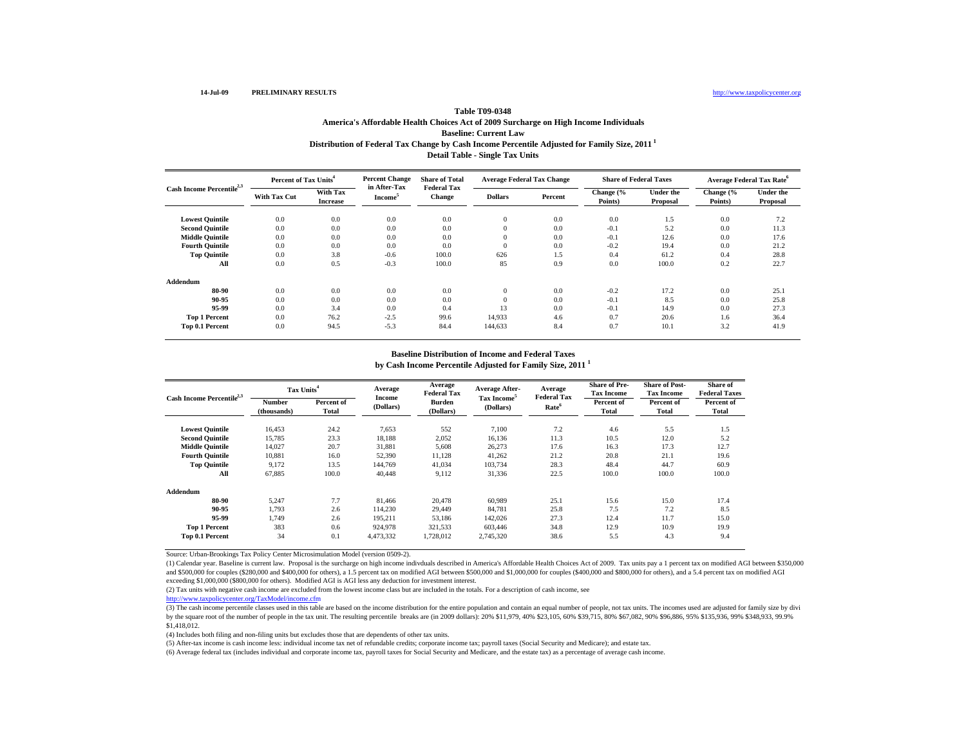#### **Distribution of Federal Tax Change by Cash Income Percentile Adjusted for Family Size, 2011 1 Detail Table - Single Tax Units Table T09-0348 America's Affordable Health Choices Act of 2009 Surcharge on High Income Individuals Baseline: Current Law**

|                                       | Percent of Tax Units <sup>4</sup> |                             | <b>Percent Change</b><br>in After-Tax | <b>Share of Total</b>               | <b>Average Federal Tax Change</b> |         | <b>Share of Federal Taxes</b> |                              | <b>Average Federal Tax Rate</b> <sup>o</sup> |                              |
|---------------------------------------|-----------------------------------|-----------------------------|---------------------------------------|-------------------------------------|-----------------------------------|---------|-------------------------------|------------------------------|----------------------------------------------|------------------------------|
| Cash Income Percentile <sup>2,3</sup> | <b>With Tax Cut</b>               | With Tax<br><b>Increase</b> | Income <sup>5</sup>                   | <b>Federal Tax</b><br><b>Change</b> | <b>Dollars</b>                    | Percent | Change (%<br>Points)          | <b>Under the</b><br>Proposal | Change (%<br>Points)                         | <b>Under the</b><br>Proposal |
| <b>Lowest Quintile</b>                | 0.0                               | 0.0                         | 0.0                                   | 0.0                                 | $\mathbf{0}$                      | 0.0     | 0.0                           | 1.5                          | 0.0                                          | 7.2                          |
| <b>Second Quintile</b>                | 0.0                               | 0.0                         | 0.0                                   | 0.0                                 | $\overline{0}$                    | 0.0     | $-0.1$                        | 5.2                          | 0.0                                          | 11.3                         |
| <b>Middle Quintile</b>                | 0.0                               | 0.0                         | 0.0                                   | 0.0                                 | $\theta$                          | 0.0     | $-0.1$                        | 12.6                         | 0.0                                          | 17.6                         |
| <b>Fourth Quintile</b>                | 0.0                               | 0.0                         | 0.0                                   | 0.0                                 | $\theta$                          | 0.0     | $-0.2$                        | 19.4                         | 0.0                                          | 21.2                         |
| <b>Top Quintile</b>                   | 0.0                               | 3.8                         | $-0.6$                                | 100.0                               | 626                               | 1.5     | 0.4                           | 61.2                         | 0.4                                          | 28.8                         |
| All                                   | 0.0                               | 0.5                         | $-0.3$                                | 100.0                               | 85                                | 0.9     | 0.0                           | 100.0                        | 0.2                                          | 22.7                         |
| Addendum                              |                                   |                             |                                       |                                     |                                   |         |                               |                              |                                              |                              |
| 80-90                                 | 0.0                               | 0.0                         | 0.0                                   | 0.0                                 | $\mathbf{0}$                      | 0.0     | $-0.2$                        | 17.2                         | 0.0                                          | 25.1                         |
| 90-95                                 | 0.0                               | 0.0                         | 0.0                                   | 0.0                                 | $\theta$                          | 0.0     | $-0.1$                        | 8.5                          | 0.0                                          | 25.8                         |
| 95-99                                 | 0.0                               | 3.4                         | 0.0                                   | 0.4                                 | 13                                | 0.0     | $-0.1$                        | 14.9                         | 0.0                                          | 27.3                         |
| <b>Top 1 Percent</b>                  | 0.0                               | 76.2                        | $-2.5$                                | 99.6                                | 14,933                            | 4.6     | 0.7                           | 20.6                         | 1.6                                          | 36.4                         |
| Top 0.1 Percent                       | 0.0                               | 94.5                        | $-5.3$                                | 84.4                                | 144,633                           | 8.4     | 0.7                           | 10.1                         | 3.2                                          | 41.9                         |

#### **Baseline Distribution of Income and Federal Taxes**

**by Cash Income Percentile Adjusted for Family Size, 2011 <sup>1</sup>**

| Cash Income Percentile <sup>2,3</sup> |                       | Tax Units <sup>4</sup> |                     | Average<br><b>Federal Tax</b> | <b>Average After-</b>                | Average                                 | <b>Share of Pre-</b><br><b>Tax Income</b> | <b>Share of Post-</b><br><b>Tax Income</b> | Share of<br><b>Federal Taxes</b> |
|---------------------------------------|-----------------------|------------------------|---------------------|-------------------------------|--------------------------------------|-----------------------------------------|-------------------------------------------|--------------------------------------------|----------------------------------|
|                                       | Number<br>(thousands) | Percent of<br>Total    | Income<br>(Dollars) | Burden<br>(Dollars)           | Tax Income <sup>5</sup><br>(Dollars) | <b>Federal Tax</b><br>Rate <sup>6</sup> | Percent of<br>Total                       | Percent of<br>Total                        | Percent of<br>Total              |
| <b>Lowest Quintile</b>                | 16.453                | 24.2                   | 7.653               | 552                           | 7.100                                | 7.2                                     | 4.6                                       | 5.5                                        | 1.5                              |
| <b>Second Quintile</b>                | 15,785                | 23.3                   | 18,188              | 2,052                         | 16,136                               | 11.3                                    | 10.5                                      | 12.0                                       | 5.2                              |
| <b>Middle Quintile</b>                | 14.027                | 20.7                   | 31.881              | 5,608                         | 26.273                               | 17.6                                    | 16.3                                      | 17.3                                       | 12.7                             |
| <b>Fourth Quintile</b>                | 10.881                | 16.0                   | 52,390              | 11,128                        | 41,262                               | 21.2                                    | 20.8                                      | 21.1                                       | 19.6                             |
| <b>Top Quintile</b>                   | 9.172                 | 13.5                   | 144.769             | 41.034                        | 103.734                              | 28.3                                    | 48.4                                      | 44.7                                       | 60.9                             |
| All                                   | 67,885                | 100.0                  | 40.448              | 9,112                         | 31,336                               | 22.5                                    | 100.0                                     | 100.0                                      | 100.0                            |
| Addendum                              |                       |                        |                     |                               |                                      |                                         |                                           |                                            |                                  |
| 80-90                                 | 5.247                 | 7.7                    | 81.466              | 20.478                        | 60,989                               | 25.1                                    | 15.6                                      | 15.0                                       | 17.4                             |
| 90-95                                 | 1.793                 | 2.6                    | 114,230             | 29,449                        | 84,781                               | 25.8                                    | 7.5                                       | 7.2                                        | 8.5                              |
| 95-99                                 | 1.749                 | 2.6                    | 195,211             | 53,186                        | 142,026                              | 27.3                                    | 12.4                                      | 11.7                                       | 15.0                             |
| <b>Top 1 Percent</b>                  | 383                   | 0.6                    | 924,978             | 321,533                       | 603,446                              | 34.8                                    | 12.9                                      | 10.9                                       | 19.9                             |
| Top 0.1 Percent                       | 34                    | 0.1                    | 4,473,332           | 1,728,012                     | 2,745,320                            | 38.6                                    | 5.5                                       | 4.3                                        | 9.4                              |

Source: Urban-Brookings Tax Policy Center Microsimulation Model (version 0509-2).

(1) Calendar year. Baseline is current law. Proposal is the surcharge on high income indivduals described in America's Affordable Health Choices Act of 2009. Tax units pay a 1 percent tax on modified AGI between \$350,000 and \$500,000 for couples (\$280,000 and \$400,000 for others), a 1.5 percent tax on modified AGI between \$500,000 and \$1,000,000 for couples (\$400,000 and \$800,000 for others), and a 5.4 percent tax on modified AGI exceeding \$1,000,000 (\$800,000 for others). Modified AGI is AGI less any deduction for investment interest.

(2) Tax units with negative cash income are excluded from the lowest income class but are included in the totals. For a description of cash income, see

http://www.taxpolicycenter.org/TaxModel/income.cfm

(3) The cash income percentile classes used in this table are based on the income distribution for the entire population and contain an equal number of people, not tax units. The incomes used are adjusted for family size b by the square root of the number of people in the tax unit. The resulting percentile breaks are (in 2009 dollars): 20% \$11,979, 40% \$23,105, 60% \$39,715, 80% \$67,082, 90% \$96,886, 95% \$135,936, 99% \$348,933, 99.9% \$1,418,012.

(4) Includes both filing and non-filing units but excludes those that are dependents of other tax units.

(5) After-tax income is cash income less: individual income tax net of refundable credits; corporate income tax; payroll taxes (Social Security and Medicare); and estate tax.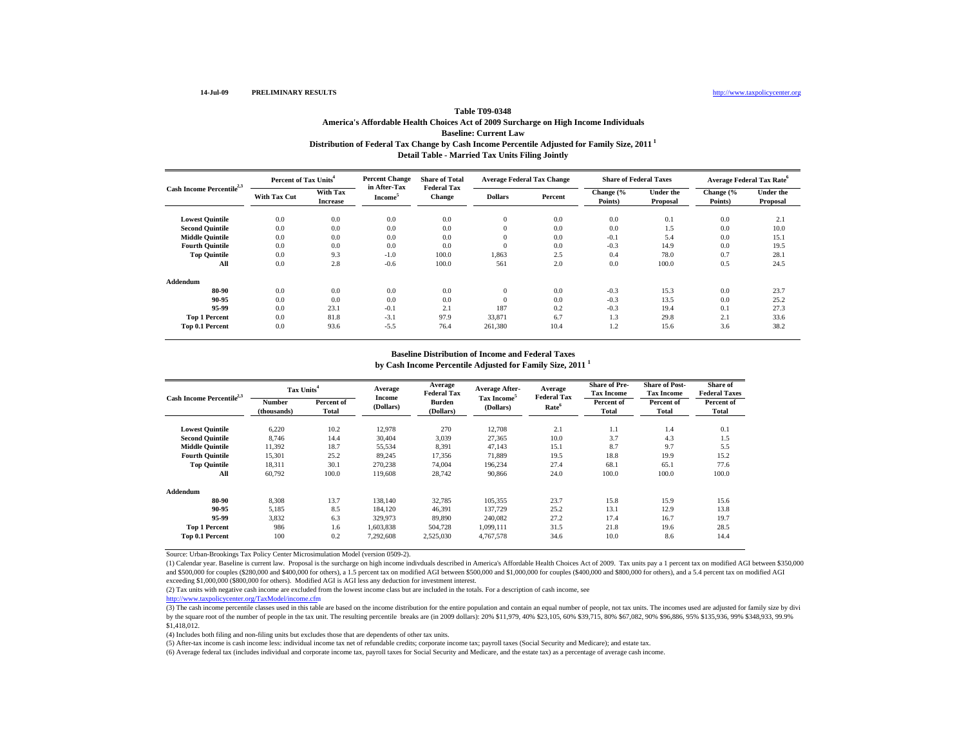## **Distribution of Federal Tax Change by Cash Income Percentile Adjusted for Family Size, 2011 1 Detail Table - Married Tax Units Filing Jointly Table T09-0348America's Affordable Health Choices Act of 2009 Surcharge on High Income Individuals Baseline: Current Law**

|                                       | Percent of Tax Units <sup>4</sup> |                             | <b>Percent Change</b><br>in After-Tax | <b>Share of Total</b>               | <b>Average Federal Tax Change</b> |         | <b>Share of Federal Taxes</b> |                              | <b>Average Federal Tax Rate</b> <sup>o</sup> |                              |
|---------------------------------------|-----------------------------------|-----------------------------|---------------------------------------|-------------------------------------|-----------------------------------|---------|-------------------------------|------------------------------|----------------------------------------------|------------------------------|
| Cash Income Percentile <sup>2,3</sup> | <b>With Tax Cut</b>               | With Tax<br><b>Increase</b> | Income <sup>5</sup>                   | <b>Federal Tax</b><br><b>Change</b> | <b>Dollars</b>                    | Percent | Change (%<br>Points)          | <b>Under the</b><br>Proposal | Change (%<br>Points)                         | <b>Under the</b><br>Proposal |
| <b>Lowest Quintile</b>                | 0.0                               | 0.0                         | 0.0                                   | 0.0                                 | $\mathbf{0}$                      | 0.0     | 0.0                           | 0.1                          | 0.0                                          | 2.1                          |
| <b>Second Quintile</b>                | 0.0                               | 0.0                         | 0.0                                   | 0.0                                 | $\overline{0}$                    | 0.0     | 0.0                           | 1.5                          | 0.0                                          | 10.0                         |
| <b>Middle Quintile</b>                | 0.0                               | 0.0                         | 0.0                                   | 0.0                                 | $\theta$                          | 0.0     | $-0.1$                        | 5.4                          | 0.0                                          | 15.1                         |
| <b>Fourth Quintile</b>                | 0.0                               | 0.0                         | 0.0                                   | 0.0                                 | $\epsilon$                        | 0.0     | $-0.3$                        | 14.9                         | 0.0                                          | 19.5                         |
| <b>Top Quintile</b>                   | 0.0                               | 9.3                         | $-1.0$                                | 100.0                               | 1,863                             | 2.5     | 0.4                           | 78.0                         | 0.7                                          | 28.1                         |
| All                                   | 0.0                               | 2.8                         | $-0.6$                                | 100.0                               | 561                               | 2.0     | 0.0                           | 100.0                        | 0.5                                          | 24.5                         |
| Addendum                              |                                   |                             |                                       |                                     |                                   |         |                               |                              |                                              |                              |
| 80-90                                 | 0.0                               | 0.0                         | 0.0                                   | 0.0                                 | $\mathbf{0}$                      | 0.0     | $-0.3$                        | 15.3                         | 0.0                                          | 23.7                         |
| 90-95                                 | 0.0                               | 0.0                         | 0.0                                   | 0.0                                 | $\Omega$                          | 0.0     | $-0.3$                        | 13.5                         | 0.0                                          | 25.2                         |
| 95-99                                 | 0.0                               | 23.1                        | $-0.1$                                | 2.1                                 | 187                               | 0.2     | $-0.3$                        | 19.4                         | 0.1                                          | 27.3                         |
| <b>Top 1 Percent</b>                  | 0.0                               | 81.8                        | $-3.1$                                | 97.9                                | 33,871                            | 6.7     | 1.3                           | 29.8                         | 2.1                                          | 33.6                         |
| Top 0.1 Percent                       | 0.0                               | 93.6                        | $-5.5$                                | 76.4                                | 261,380                           | 10.4    | 1.2                           | 15.6                         | 3.6                                          | 38.2                         |

#### **Baseline Distribution of Income and Federal Taxes**

**by Cash Income Percentile Adjusted for Family Size, 2011 <sup>1</sup>**

| Cash Income Percentile <sup>2,3</sup> |                       | Tax Units <sup>4</sup> |                     | Average<br><b>Federal Tax</b> | <b>Average After-</b>                | Average                                 | <b>Share of Pre-</b><br><b>Tax Income</b> | <b>Share of Post-</b><br><b>Tax Income</b> | Share of<br><b>Federal Taxes</b> |
|---------------------------------------|-----------------------|------------------------|---------------------|-------------------------------|--------------------------------------|-----------------------------------------|-------------------------------------------|--------------------------------------------|----------------------------------|
|                                       | Number<br>(thousands) | Percent of<br>Total    | Income<br>(Dollars) | Burden<br>(Dollars)           | Tax Income <sup>5</sup><br>(Dollars) | <b>Federal Tax</b><br>Rate <sup>6</sup> | Percent of<br>Total                       | Percent of<br>Total                        | Percent of<br>Total              |
| <b>Lowest Quintile</b>                | 6,220                 | 10.2                   | 12,978              | 270                           | 12,708                               | 2.1                                     | 1.1                                       | 1.4                                        | 0.1                              |
| <b>Second Quintile</b>                | 8.746                 | 14.4                   | 30,404              | 3,039                         | 27,365                               | 10.0                                    | 3.7                                       | 4.3                                        | 1.5                              |
| <b>Middle Quintile</b>                | 11,392                | 18.7                   | 55,534              | 8,391                         | 47.143                               | 15.1                                    | 8.7                                       | 9.7                                        | 5.5                              |
| <b>Fourth Quintile</b>                | 15,301                | 25.2                   | 89.245              | 17,356                        | 71,889                               | 19.5                                    | 18.8                                      | 19.9                                       | 15.2                             |
| <b>Top Quintile</b>                   | 18,311                | 30.1                   | 270,238             | 74,004                        | 196.234                              | 27.4                                    | 68.1                                      | 65.1                                       | 77.6                             |
| All                                   | 60,792                | 100.0                  | 119,608             | 28,742                        | 90,866                               | 24.0                                    | 100.0                                     | 100.0                                      | 100.0                            |
| Addendum                              |                       |                        |                     |                               |                                      |                                         |                                           |                                            |                                  |
| 80-90                                 | 8.308                 | 13.7                   | 138,140             | 32,785                        | 105.355                              | 23.7                                    | 15.8                                      | 15.9                                       | 15.6                             |
| 90-95                                 | 5.185                 | 8.5                    | 184.120             | 46.391                        | 137,729                              | 25.2                                    | 13.1                                      | 12.9                                       | 13.8                             |
| 95-99                                 | 3.832                 | 6.3                    | 329,973             | 89.890                        | 240.082                              | 27.2                                    | 17.4                                      | 16.7                                       | 19.7                             |
| <b>Top 1 Percent</b>                  | 986                   | 1.6                    | 1,603,838           | 504,728                       | 1,099,111                            | 31.5                                    | 21.8                                      | 19.6                                       | 28.5                             |
| Top 0.1 Percent                       | 100                   | 0.2                    | 7,292,608           | 2,525,030                     | 4,767,578                            | 34.6                                    | 10.0                                      | 8.6                                        | 14.4                             |

Source: Urban-Brookings Tax Policy Center Microsimulation Model (version 0509-2).

(1) Calendar year. Baseline is current law. Proposal is the surcharge on high income indivduals described in America's Affordable Health Choices Act of 2009. Tax units pay a 1 percent tax on modified AGI between \$350,000 and \$500,000 for couples (\$280,000 and \$400,000 for others), a 1.5 percent tax on modified AGI between \$500,000 and \$1,000,000 for couples (\$400,000 and \$800,000 for others), and a 5.4 percent tax on modified AGI exceeding \$1,000,000 (\$800,000 for others). Modified AGI is AGI less any deduction for investment interest.

(2) Tax units with negative cash income are excluded from the lowest income class but are included in the totals. For a description of cash income, see

http://www.taxpolicycenter.org/TaxModel/income.cfm

(3) The cash income percentile classes used in this table are based on the income distribution for the entire population and contain an equal number of people, not tax units. The incomes used are adjusted for family size b by the square root of the number of people in the tax unit. The resulting percentile breaks are (in 2009 dollars): 20% \$11,979, 40% \$23,105, 60% \$39,715, 80% \$67,082, 90% \$96,886, 95% \$135,936, 99% \$348,933, 99.9% \$1,418,012.

(4) Includes both filing and non-filing units but excludes those that are dependents of other tax units.

(5) After-tax income is cash income less: individual income tax net of refundable credits; corporate income tax; payroll taxes (Social Security and Medicare); and estate tax.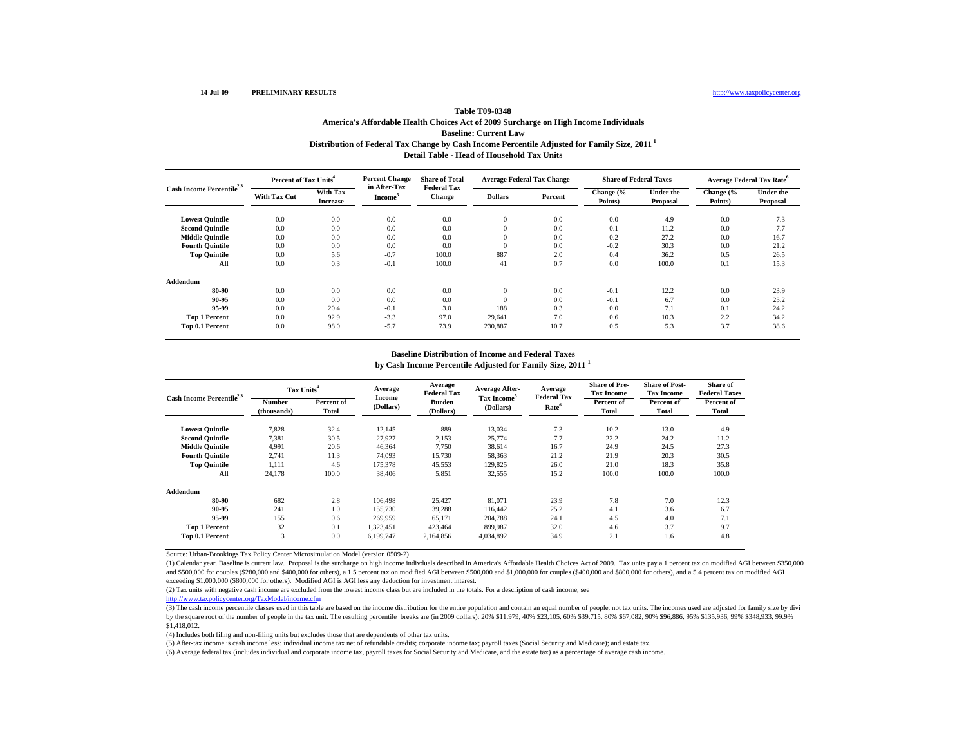## **Distribution of Federal Tax Change by Cash Income Percentile Adjusted for Family Size, 2011 1 Detail Table - Head of Household Tax Units Table T09-0348America's Affordable Health Choices Act of 2009 Surcharge on High Income Individuals Baseline: Current Law**

| Cash Income Percentile <sup>2,3</sup> | Percent of Tax Units <sup>4</sup> |                             | <b>Percent Change</b>               | <b>Share of Total</b>               | <b>Average Federal Tax Change</b> |         | <b>Share of Federal Taxes</b> |                              |                      | <b>Average Federal Tax Rate<sup>6</sup></b> |
|---------------------------------------|-----------------------------------|-----------------------------|-------------------------------------|-------------------------------------|-----------------------------------|---------|-------------------------------|------------------------------|----------------------|---------------------------------------------|
|                                       | <b>With Tax Cut</b>               | With Tax<br><b>Increase</b> | in After-Tax<br>Income <sup>5</sup> | <b>Federal Tax</b><br><b>Change</b> | <b>Dollars</b>                    | Percent | Change (%<br>Points)          | <b>Under the</b><br>Proposal | Change (%<br>Points) | <b>Under the</b><br>Proposal                |
| <b>Lowest Quintile</b>                | 0.0                               | 0.0                         | 0.0                                 | 0.0                                 | $\boldsymbol{0}$                  | 0.0     | 0.0                           | $-4.9$                       | 0.0                  | $-7.3$                                      |
| <b>Second Quintile</b>                | 0.0                               | 0.0                         | 0.0                                 | 0.0                                 | $\overline{0}$                    | 0.0     | $-0.1$                        | 11.2                         | 0.0                  | 7.7                                         |
| <b>Middle Ouintile</b>                | 0.0                               | 0.0                         | 0.0                                 | 0.0                                 | $\overline{0}$                    | 0.0     | $-0.2$                        | 27.2                         | 0.0                  | 16.7                                        |
| <b>Fourth Quintile</b>                | 0.0                               | 0.0                         | 0.0                                 | 0.0                                 | $\Omega$                          | 0.0     | $-0.2$                        | 30.3                         | 0.0                  | 21.2                                        |
| <b>Top Quintile</b>                   | 0.0                               | 5.6                         | $-0.7$                              | 100.0                               | 887                               | 2.0     | 0.4                           | 36.2                         | 0.5                  | 26.5                                        |
| All                                   | 0.0                               | 0.3                         | $-0.1$                              | 100.0                               | 41                                | 0.7     | 0.0                           | 100.0                        | 0.1                  | 15.3                                        |
| Addendum                              |                                   |                             |                                     |                                     |                                   |         |                               |                              |                      |                                             |
| 80-90                                 | 0.0                               | 0.0                         | 0.0                                 | 0.0                                 | $\mathbf{0}$                      | 0.0     | $-0.1$                        | 12.2                         | 0.0                  | 23.9                                        |
| 90-95                                 | 0.0                               | 0.0                         | 0.0                                 | 0.0                                 | $\theta$                          | 0.0     | $-0.1$                        | 6.7                          | 0.0                  | 25.2                                        |
| 95-99                                 | 0.0                               | 20.4                        | $-0.1$                              | 3.0                                 | 188                               | 0.3     | 0.0                           | 7.1                          | 0.1                  | 24.2                                        |
| <b>Top 1 Percent</b>                  | 0.0                               | 92.9                        | $-3.3$                              | 97.0                                | 29,641                            | 7.0     | 0.6                           | 10.3                         | 2.2                  | 34.2                                        |
| Top 0.1 Percent                       | 0.0                               | 98.0                        | $-5.7$                              | 73.9                                | 230,887                           | 10.7    | 0.5                           | 5.3                          | 3.7                  | 38.6                                        |

#### **Baseline Distribution of Income and Federal Taxes**

**by Cash Income Percentile Adjusted for Family Size, 2011 <sup>1</sup>**

| Cash Income Percentile <sup>2,3</sup> |                       | Tax Units <sup>4</sup> |                     | Average<br><b>Federal Tax</b> | <b>Average After-</b>                | Average                                 | <b>Share of Pre-</b><br><b>Tax Income</b> | <b>Share of Post-</b><br><b>Tax Income</b> | Share of<br><b>Federal Taxes</b> |
|---------------------------------------|-----------------------|------------------------|---------------------|-------------------------------|--------------------------------------|-----------------------------------------|-------------------------------------------|--------------------------------------------|----------------------------------|
|                                       | Number<br>(thousands) | Percent of<br>Total    | Income<br>(Dollars) | Burden<br>(Dollars)           | Tax Income <sup>5</sup><br>(Dollars) | <b>Federal Tax</b><br>Rate <sup>6</sup> | Percent of<br>Total                       | Percent of<br>Total                        | Percent of<br>Total              |
| <b>Lowest Quintile</b>                | 7,828                 | 32.4                   | 12,145              | $-889$                        | 13,034                               | $-7.3$                                  | 10.2                                      | 13.0                                       | $-4.9$                           |
| <b>Second Quintile</b>                | 7,381                 | 30.5                   | 27,927              | 2,153                         | 25,774                               | 7.7                                     | 22.2                                      | 24.2                                       | 11.2                             |
| <b>Middle Quintile</b>                | 4,991                 | 20.6                   | 46,364              | 7,750                         | 38,614                               | 16.7                                    | 24.9                                      | 24.5                                       | 27.3                             |
| <b>Fourth Quintile</b>                | 2.741                 | 11.3                   | 74,093              | 15,730                        | 58,363                               | 21.2                                    | 21.9                                      | 20.3                                       | 30.5                             |
| <b>Top Quintile</b>                   | 1.111                 | 4.6                    | 175,378             | 45,553                        | 129,825                              | 26.0                                    | 21.0                                      | 18.3                                       | 35.8                             |
| All                                   | 24,178                | 100.0                  | 38,406              | 5,851                         | 32,555                               | 15.2                                    | 100.0                                     | 100.0                                      | 100.0                            |
| Addendum                              |                       |                        |                     |                               |                                      |                                         |                                           |                                            |                                  |
| 80-90                                 | 682                   | 2.8                    | 106.498             | 25,427                        | 81,071                               | 23.9                                    | 7.8                                       | 7.0                                        | 12.3                             |
| 90-95                                 | 241                   | 1.0                    | 155,730             | 39,288                        | 116.442                              | 25.2                                    | 4.1                                       | 3.6                                        | 6.7                              |
| 95-99                                 | 155                   | 0.6                    | 269,959             | 65.171                        | 204.788                              | 24.1                                    | 4.5                                       | 4.0                                        | 7.1                              |
| <b>Top 1 Percent</b>                  | 32                    | 0.1                    | 1,323,451           | 423,464                       | 899,987                              | 32.0                                    | 4.6                                       | 3.7                                        | 9.7                              |
| Top 0.1 Percent                       | 3                     | 0.0                    | 6,199,747           | 2,164,856                     | 4,034,892                            | 34.9                                    | 2.1                                       | 1.6                                        | 4.8                              |

Source: Urban-Brookings Tax Policy Center Microsimulation Model (version 0509-2).

(1) Calendar year. Baseline is current law. Proposal is the surcharge on high income indivduals described in America's Affordable Health Choices Act of 2009. Tax units pay a 1 percent tax on modified AGI between \$350,000 and \$500,000 for couples (\$280,000 and \$400,000 for others), a 1.5 percent tax on modified AGI between \$500,000 and \$1,000,000 for couples (\$400,000 and \$800,000 for others), and a 5.4 percent tax on modified AGI exceeding \$1,000,000 (\$800,000 for others). Modified AGI is AGI less any deduction for investment interest.

(2) Tax units with negative cash income are excluded from the lowest income class but are included in the totals. For a description of cash income, see

http://www.taxpolicycenter.org/TaxModel/income.cfm

(3) The cash income percentile classes used in this table are based on the income distribution for the entire population and contain an equal number of people, not tax units. The incomes used are adjusted for family size b by the square root of the number of people in the tax unit. The resulting percentile breaks are (in 2009 dollars): 20% \$11,979, 40% \$23,105, 60% \$39,715, 80% \$67,082, 90% \$96,886, 95% \$135,936, 99% \$348,933, 99.9% \$1,418,012.

(4) Includes both filing and non-filing units but excludes those that are dependents of other tax units.

(5) After-tax income is cash income less: individual income tax net of refundable credits; corporate income tax; payroll taxes (Social Security and Medicare); and estate tax.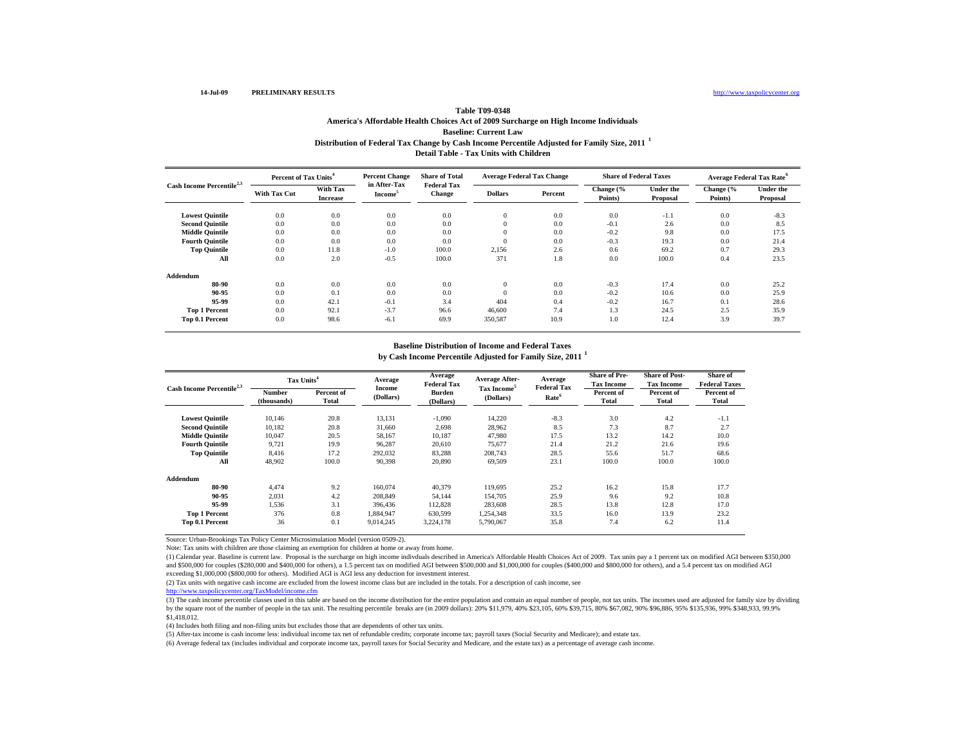#### http://www.taxpolicycenter.org

## **Distribution of Federal Tax Change by Cash Income Percentile Adjusted for Family Size, 2011 <sup>1</sup> Detail Table - Tax Units with Children Table T09-0348America's Affordable Health Choices Act of 2009 Surcharge on High Income Individuals Baseline: Current Law**

|                                       | Percent of Tax Units <sup>4</sup> |                             | <b>Percent Change</b>               | <b>Share of Total</b>        | <b>Average Federal Tax Change</b> |         | <b>Share of Federal Taxes</b> |                              |                      | <b>Average Federal Tax Rate<sup>6</sup></b> |
|---------------------------------------|-----------------------------------|-----------------------------|-------------------------------------|------------------------------|-----------------------------------|---------|-------------------------------|------------------------------|----------------------|---------------------------------------------|
| Cash Income Percentile <sup>2,3</sup> | <b>With Tax Cut</b>               | With Tax<br><b>Increase</b> | in After-Tax<br>Income <sup>3</sup> | <b>Federal Tax</b><br>Change | <b>Dollars</b>                    | Percent | Change (%<br>Points)          | <b>Under the</b><br>Proposal | Change (%<br>Points) | <b>Under the</b><br>Proposal                |
| <b>Lowest Quintile</b>                | 0.0                               | 0.0                         | 0.0                                 | 0.0                          | $\mathbf{0}$                      | 0.0     | 0.0                           | $-1.1$                       | 0.0                  | $-8.3$                                      |
| <b>Second Quintile</b>                | 0.0                               | 0.0                         | 0.0                                 | 0.0                          | $\Omega$                          | 0.0     | $-0.1$                        | 2.6                          | 0.0                  | 8.5                                         |
| <b>Middle Quintile</b>                | 0.0                               | 0.0                         | 0.0                                 | 0.0                          | $\Omega$                          | 0.0     | $-0.2$                        | 9.8                          | 0.0                  | 17.5                                        |
| <b>Fourth Quintile</b>                | 0.0                               | 0.0                         | 0.0                                 | 0.0                          | $\Omega$                          | 0.0     | $-0.3$                        | 19.3                         | 0.0                  | 21.4                                        |
| <b>Top Quintile</b>                   | 0.0                               | 11.8                        | $-1.0$                              | 100.0                        | 2,156                             | 2.6     | 0.6                           | 69.2                         | 0.7                  | 29.3                                        |
| All                                   | 0.0                               | 2.0                         | $-0.5$                              | 100.0                        | 371                               | 1.8     | 0.0                           | 100.0                        | 0.4                  | 23.5                                        |
| Addendum                              |                                   |                             |                                     |                              |                                   |         |                               |                              |                      |                                             |
| 80-90                                 | 0.0                               | 0.0                         | 0.0                                 | 0.0                          | $\Omega$                          | 0.0     | $-0.3$                        | 17.4                         | 0.0                  | 25.2                                        |
| 90-95                                 | 0.0                               | 0.1                         | 0.0                                 | 0.0                          |                                   | 0.0     | $-0.2$                        | 10.6                         | 0.0                  | 25.9                                        |
| 95-99                                 | 0.0                               | 42.1                        | $-0.1$                              | 3.4                          | 404                               | 0.4     | $-0.2$                        | 16.7                         | 0.1                  | 28.6                                        |
| <b>Top 1 Percent</b>                  | 0.0                               | 92.1                        | $-3.7$                              | 96.6                         | 46,600                            | 7.4     | 1.3                           | 24.5                         | 2.5                  | 35.9                                        |
| Top 0.1 Percent                       | 0.0                               | 98.6                        | $-6.1$                              | 69.9                         | 350,587                           | 10.9    | 1.0                           | 12.4                         | 3.9                  | 39.7                                        |

#### **Baseline Distribution of Income and Federal Taxes**

**by Cash Income Percentile Adjusted for Family Size, 2011 <sup>1</sup>**

| Cash Income Percentile <sup>2,3</sup> | Tax Units <sup>4</sup> |                     | Average             | Average<br><b>Federal Tax</b> | <b>Average After-</b>                | Average                                 | <b>Share of Pre-</b><br><b>Tax Income</b> | <b>Share of Post-</b><br><b>Tax Income</b> | Share of<br><b>Federal Taxes</b> |
|---------------------------------------|------------------------|---------------------|---------------------|-------------------------------|--------------------------------------|-----------------------------------------|-------------------------------------------|--------------------------------------------|----------------------------------|
|                                       | Number<br>(thousands)  | Percent of<br>Total | Income<br>(Dollars) | <b>Burden</b><br>(Dollars)    | Tax Income <sup>5</sup><br>(Dollars) | <b>Federal Tax</b><br>Rate <sup>6</sup> | Percent of<br>Total                       | Percent of<br><b>Total</b>                 | Percent of<br><b>Total</b>       |
| <b>Lowest Quintile</b>                | 10.146                 | 20.8                | 13,131              | $-1,090$                      | 14,220                               | $-8.3$                                  | 3.0                                       | 4.2                                        | $-1.1$                           |
| <b>Second Quintile</b>                | 10,182                 | 20.8                | 31,660              | 2,698                         | 28,962                               | 8.5                                     | 7.3                                       | 8.7                                        | 2.7                              |
| <b>Middle Quintile</b>                | 10,047                 | 20.5                | 58,167              | 10,187                        | 47,980                               | 17.5                                    | 13.2                                      | 14.2                                       | 10.0                             |
| <b>Fourth Ouintile</b>                | 9.721                  | 19.9                | 96.287              | 20,610                        | 75,677                               | 21.4                                    | 21.2                                      | 21.6                                       | 19.6                             |
| <b>Top Quintile</b>                   | 8.416                  | 17.2                | 292,032             | 83,288                        | 208,743                              | 28.5                                    | 55.6                                      | 51.7                                       | 68.6                             |
| All                                   | 48,902                 | 100.0               | 90,398              | 20,890                        | 69,509                               | 23.1                                    | 100.0                                     | 100.0                                      | 100.0                            |
| Addendum                              |                        |                     |                     |                               |                                      |                                         |                                           |                                            |                                  |
| 80-90                                 | 4.474                  | 9.2                 | 160,074             | 40,379                        | 119,695                              | 25.2                                    | 16.2                                      | 15.8                                       | 17.7                             |
| 90-95                                 | 2,031                  | 4.2                 | 208,849             | 54,144                        | 154,705                              | 25.9                                    | 9.6                                       | 9.2                                        | 10.8                             |
| 95-99                                 | 1,536                  | 3.1                 | 396,436             | 112,828                       | 283,608                              | 28.5                                    | 13.8                                      | 12.8                                       | 17.0                             |
| <b>Top 1 Percent</b>                  | 376                    | 0.8                 | 1.884.947           | 630,599                       | 1,254,348                            | 33.5                                    | 16.0                                      | 13.9                                       | 23.2                             |
| Top 0.1 Percent                       | 36                     | 0.1                 | 9,014,245           | 3,224,178                     | 5,790,067                            | 35.8                                    | 7.4                                       | 6.2                                        | 11.4                             |

Source: Urban-Brookings Tax Policy Center Microsimulation Model (version 0509-2).

Note: Tax units with children are those claiming an exemption for children at home or away from home.

(1) Calendar year. Baseline is current law. Proposal is the surcharge on high income indivduals described in America's Affordable Health Choices Act of 2009. Tax units pay a 1 percent tax on modified AGI between \$350,000 and \$500,000 for couples (\$280,000 and \$400,000 for others), a 1.5 percent tax on modified AGI between \$500,000 and \$1,000,000 for couples (\$400,000 and \$800,000 for others), and a 5.4 percent tax on modified AGI exceeding \$1,000,000 (\$800,000 for others). Modified AGI is AGI less any deduction for investment interest.

(2) Tax units with negative cash income are excluded from the lowest income class but are included in the totals. For a description of cash income, see

http://www.taxpolicycenter.org/TaxModel/income.cfm

(3) The cash income percentile classes used in this table are based on the income distribution for the entire population and contain an equal number of people, not tax units. The incomes used are adjusted for family size b by the square root of the number of people in the tax unit. The resulting percentile breaks are (in 2009 dollars): 20% \$11,979, 40% \$23,105, 60% \$39,715, 80% \$67,082, 90% \$96,886, 95% \$135,936, 99% \$348,933, 99.9% \$1,418,012.

(4) Includes both filing and non-filing units but excludes those that are dependents of other tax units.

(5) After-tax income is cash income less: individual income tax net of refundable credits; corporate income tax; payroll taxes (Social Security and Medicare); and estate tax.